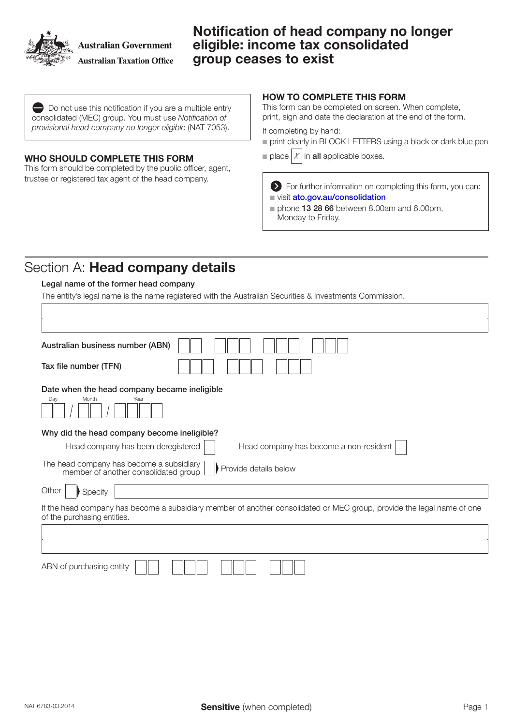

**Australian Government Australian Taxation Office**  Notification of head company no longer eligible: income tax consolidated group ceases to exist

Do not use this notification if you are a multiple entry consolidated (MEC) group. You must use *Notification of provisional head company no longer eligible* (NAT 7053).

### WHO SHOULD COMPLETE THIS FORM

This form should be completed by the public officer, agent, trustee or registered tax agent of the head company.

### HOW TO COMPLETE THIS FORM

This form can be completed on screen. When complete, print, sign and date the declaration at the end of the form.

If completing by hand:

- print clearly in BLOCK LETTERS using a black or dark blue pen
- place  $X$  in all applicable boxes.

For further information on completing this form, you can: visit [ato.gov.au/consolidation](http://www.ato.gov.au/consolidation)

 $\blacksquare$  phone 13 28 66 between 8.00am and 6.00pm, Monday to Friday.

## Section A: Head company details

### Legal name of the former head company

The entity's legal name is the name registered with the Australian Securities & Investments Commission.

| Australian business number (ABN)                                                                                                                      |  |  |  |  |
|-------------------------------------------------------------------------------------------------------------------------------------------------------|--|--|--|--|
| Tax file number (TFN)                                                                                                                                 |  |  |  |  |
| Date when the head company became ineligible                                                                                                          |  |  |  |  |
| Month<br>Day<br>Year                                                                                                                                  |  |  |  |  |
| Why did the head company become ineligible?                                                                                                           |  |  |  |  |
| Head company has been deregistered<br>Head company has become a non-resident                                                                          |  |  |  |  |
| The head company has become a subsidiary<br>Provide details below<br>member of another consolidated group                                             |  |  |  |  |
| Other<br>Specify                                                                                                                                      |  |  |  |  |
| If the head company has become a subsidiary member of another consolidated or MEC group, provide the legal name of one<br>of the purchasing entities. |  |  |  |  |
|                                                                                                                                                       |  |  |  |  |
|                                                                                                                                                       |  |  |  |  |
| ABN of purchasing entity                                                                                                                              |  |  |  |  |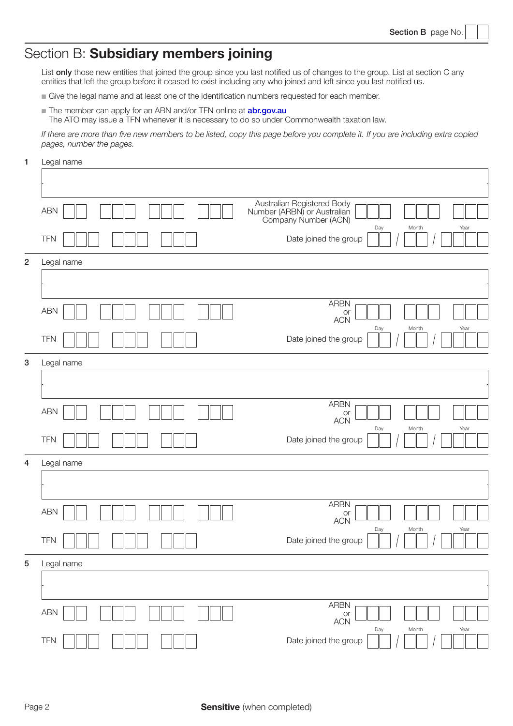## Section B: Subsidiary members joining

List only those new entities that joined the group since you last notified us of changes to the group. List at section C any entities that left the group before it ceased to exist including any who joined and left since you last notified us.

- $\blacksquare$  Give the legal name and at least one of the identification numbers requested for each member.
- The member can apply for an ABN and/or TFN online at **[abr.gov.au](http://www.abr.gov.au)** The ATO may issue a TFN whenever it is necessary to do so under Commonwealth taxation law.

*If there are more than five new members to be listed, copy this page before you complete it. If you are including extra copied pages, number the pages.*

1 Legal name

|                  | <b>ABN</b> | Australian Registered Body<br>Number (ARBN) or Australian<br>Company Number (ACN) |
|------------------|------------|-----------------------------------------------------------------------------------|
|                  | <b>TFN</b> | Year<br>Day<br>Month<br>Date joined the group                                     |
| $\overline{2}$   | Legal name |                                                                                   |
|                  |            |                                                                                   |
|                  | <b>ABN</b> | <b>ARBN</b><br>or<br><b>ACN</b>                                                   |
|                  | <b>TFN</b> | Day<br>Year<br>Month<br>Date joined the group                                     |
| $\boldsymbol{3}$ | Legal name |                                                                                   |
|                  |            |                                                                                   |
|                  | <b>ABN</b> | <b>ARBN</b><br>or<br><b>ACN</b>                                                   |
|                  | <b>TFN</b> | Day<br>Month<br>Year<br>Date joined the group                                     |
| 4                | Legal name |                                                                                   |
|                  |            |                                                                                   |
|                  | <b>ABN</b> | <b>ARBN</b><br>or<br><b>ACN</b>                                                   |
|                  | <b>TFN</b> | Day<br>Month<br>Year<br>Date joined the group                                     |
| $\sqrt{5}$       | Legal name |                                                                                   |
|                  |            |                                                                                   |
|                  | ABN        | ARBN<br>or<br><b>ACN</b>                                                          |
|                  | TFN        | Day<br>Month<br>Year<br>Date joined the group                                     |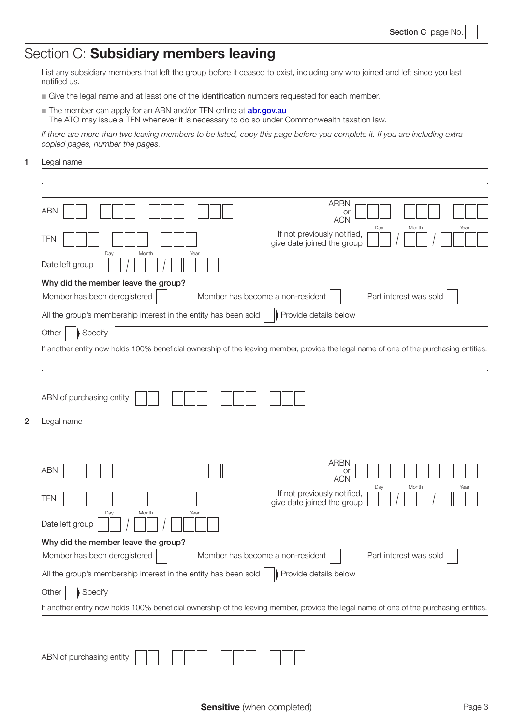# Section C: Subsidiary members leaving

List any subsidiary members that left the group before it ceased to exist, including any who joined and left since you last notified us.

- $\blacksquare$  Give the legal name and at least one of the identification numbers requested for each member.
- The member can apply for an ABN and/or TFN online at **[abr.gov.au](http://www.abr.gov.au)** The ATO may issue a TFN whenever it is necessary to do so under Commonwealth taxation law.

*If there are more than two leaving members to be listed, copy this page before you complete it. If you are including extra*  copied pages, number the pages.

1 Legal name

|                                                                                                                                        | <b>ARBN</b>                                                                                                                            |  |  |
|----------------------------------------------------------------------------------------------------------------------------------------|----------------------------------------------------------------------------------------------------------------------------------------|--|--|
| <b>ABN</b>                                                                                                                             | or<br><b>ACN</b><br>Month<br>Year                                                                                                      |  |  |
| <b>TFN</b>                                                                                                                             | Day<br>If not previously notified,<br>give date joined the group                                                                       |  |  |
| Month<br>Day<br>Year<br>Date left group                                                                                                |                                                                                                                                        |  |  |
| Why did the member leave the group?                                                                                                    |                                                                                                                                        |  |  |
| Member has been deregistered                                                                                                           | Member has become a non-resident<br>Part interest was sold                                                                             |  |  |
| All the group's membership interest in the entity has been sold                                                                        | Provide details below                                                                                                                  |  |  |
| Specify<br>Other                                                                                                                       |                                                                                                                                        |  |  |
|                                                                                                                                        | If another entity now holds 100% beneficial ownership of the leaving member, provide the legal name of one of the purchasing entities. |  |  |
|                                                                                                                                        |                                                                                                                                        |  |  |
|                                                                                                                                        |                                                                                                                                        |  |  |
| ABN of purchasing entity                                                                                                               |                                                                                                                                        |  |  |
| 2<br>Legal name                                                                                                                        |                                                                                                                                        |  |  |
|                                                                                                                                        |                                                                                                                                        |  |  |
|                                                                                                                                        |                                                                                                                                        |  |  |
| <b>ABN</b>                                                                                                                             | <b>ARBN</b><br>or<br><b>ACN</b>                                                                                                        |  |  |
| <b>TFN</b>                                                                                                                             | Day<br>Month<br>Year<br>If not previously notified,<br>give date joined the group                                                      |  |  |
| Day<br>Month<br>Year<br>Date left group                                                                                                |                                                                                                                                        |  |  |
| Why did the member leave the group?                                                                                                    |                                                                                                                                        |  |  |
| Member has been deregistered                                                                                                           | Member has become a non-resident<br>Part interest was sold                                                                             |  |  |
| All the group's membership interest in the entity has been sold<br>Provide details below                                               |                                                                                                                                        |  |  |
| Specify<br>Other                                                                                                                       |                                                                                                                                        |  |  |
| If another entity now holds 100% beneficial ownership of the leaving member, provide the legal name of one of the purchasing entities. |                                                                                                                                        |  |  |
|                                                                                                                                        |                                                                                                                                        |  |  |
| ABN of purchasing entity                                                                                                               |                                                                                                                                        |  |  |